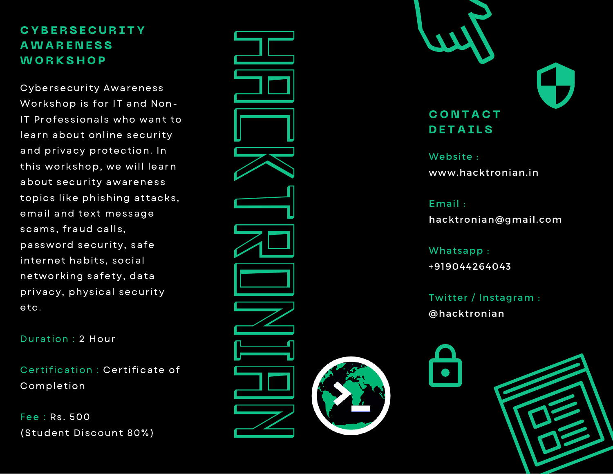Cybersecurity Awareness Workshop is for IT and Non-IT Professionals who want to learn about online security and privacy protection. In this workshop, we will learn about security awareness topics like phishing attacks, email and text message scams, fraud calls, password security, safe internet habits, social networking safety, data privacy, physical security etc. CYBERSECURITY<br>AWARENESS<br>WORKSHOP<br>Cybersecurity Awarenes<br>Workshop is for IT and N<br>IT Professionals who wa<br>learn about online secure<br>and privacy protection.<br>this workshop, we will leabout security awarenes<br>topics like phishi

Duration : 2 Hour

Certification : Certificate of Completion

Fee : Rs. 500





Website : www.hacktronian.in

E m a il : hacktronian@gmail.com

Whatsapp: +919044264 0 4 3

Twitter / Instagram : @hacktronian